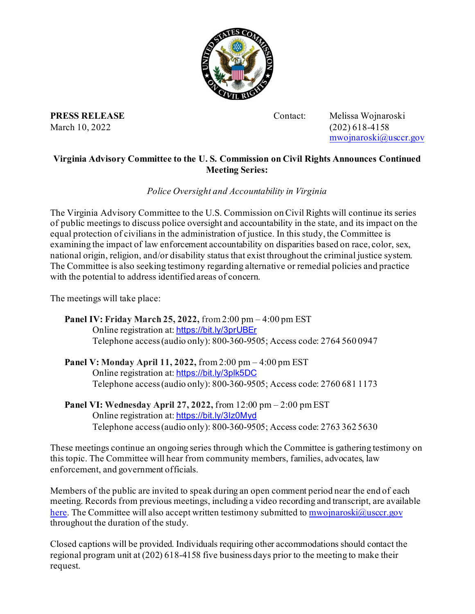

**PRESS RELEASE** Contact: Melissa Wojnaroski March 10, 2022 (202) 618-4158

[mwojnaroski@usccr.gov](mailto:mwojnaroski@usccr.gov)

## **Virginia Advisory Committee to the U. S. Commission on Civil Rights Announces Continued Meeting Series:**

## *Police Oversight and Accountability in Virginia*

The Virginia Advisory Committee to the U.S. Commission on Civil Rights will continue its series of public meetings to discuss police oversight and accountability in the state, and its impact on the equal protection of civilians in the administration of justice. In this study, the Committee is examining the impact of law enforcement accountability on disparities based on race, color, sex, national origin, religion, and/or disability status that exist throughout the criminal justice system. The Committee is also seeking testimony regarding alternative or remedial policies and practice with the potential to address identified areas of concern.

The meetings will take place:

**Panel IV: Friday March 25, 2022,** from 2:00 pm – 4:00 pm EST Online registration at: <https://bit.ly/3prUBEr> Telephone access (audio only): 800-360-9505; Access code: 2764 560 0947

- **Panel V: Monday April 11, 2022,** from 2:00 pm 4:00 pm EST Online registration at: <https://bit.ly/3plk5DC> Telephone access (audio only): 800-360-9505; Access code: 2760 681 1173
- **Panel VI: Wednesday April 27, 2022,** from 12:00 pm 2:00 pm EST Online registration at: <https://bit.ly/3Iz0Myd> Telephone access (audio only): 800-360-9505; Access code: 2763 362 5630

These meetings continue an ongoing series through which the Committee is gathering testimony on this topic. The Committee will hear from community members, families, advocates, law enforcement, and government officials.

Members of the public are invited to speak during an open comment period near the end of each meeting. Records from previous meetings, including a video recording and transcript, are available [here.](https://securisync.intermedia.net/us2/s/folder?public_share=409J0xbKeIQ2vuMJBvQond0011ef58&id=L1ZB) The Committee will also accept written testimony submitted t[o mwojnaroski@usccr.gov](mailto:mwojnaroski@usccr.gov) throughout the duration of the study.

Closed captions will be provided. Individuals requiring other accommodations should contact the regional program unit at (202) 618-4158 five business days prior to the meeting to make their request.